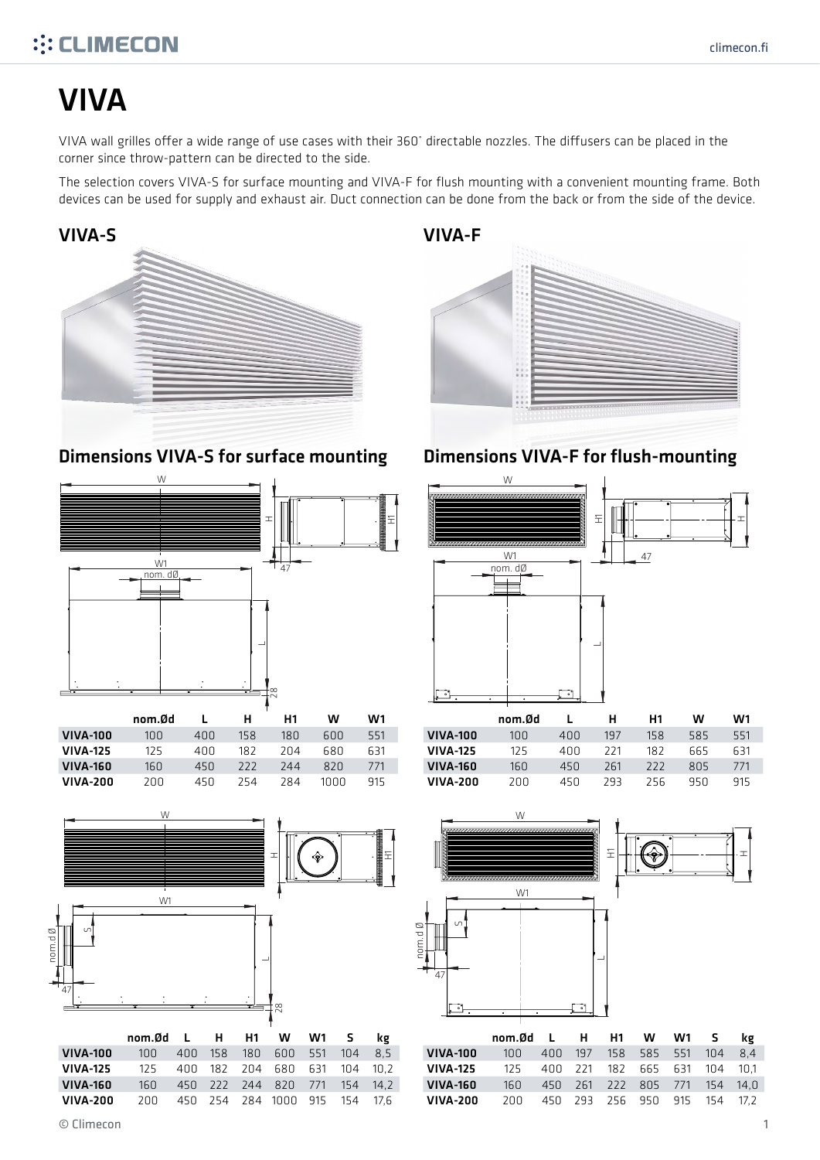## **::: CLIMECON**

# VIVA

VIVA wall grilles offer a wide range of use cases with their 360˚ directable nozzles. The diffusers can be placed in the corner since throw-pattern can be directed to the side.

The selection covers VIVA-S for surface mounting and VIVA-F for flush mounting with a convenient mounting frame. Both devices can be used for supply and exhaust air. Duct connection can be done from the back or from the side of the device.



#### Dimensions VIVA-S for surface mounting Dimensions VIVA-F for flush-mounting



|                 | nom.Ød |      | н   | H1  | w    | W1  |
|-----------------|--------|------|-----|-----|------|-----|
| <b>VIVA-100</b> | 100    | 400  | 158 | 180 | 600  | 551 |
| <b>VIVA-125</b> | 125    | 400  | 182 | 204 | 680  | 631 |
| <b>VIVA-160</b> | 160    | 45 N | 777 | 744 | 820  | 771 |
| VIVA-200        | 200    | 45 N | 254 | 284 | 1000 | 915 |



VIVA-200 200 450 254 284 1000 915 154 17,6

450 254 284 1000 915

771 154 154  $14,2$  $17,6$ 

160 450



|                 | ,,,,,,,,,, |      |     | .   |     | vv ı |
|-----------------|------------|------|-----|-----|-----|------|
| <b>VIVA-100</b> | 100        | 400  | 197 | 158 | 585 | 551  |
| <b>VIVA-125</b> | 125        | 400  | 221 | 182 | 665 | 631  |
| <b>VIVA-160</b> | 160        | 450  | 261 | 777 | 805 | 771  |
| VIVA-200        | 200        | 45 N | 293 | 756 | 95N | 915  |



|                 | nom.Ød L H H1 W W1 S |  |                              |  | kg  |
|-----------------|----------------------|--|------------------------------|--|-----|
| <b>VIVA-100</b> | 10 N                 |  | 400 197 158 585 551 104      |  | 8.4 |
| <b>VIVA-125</b> | 125                  |  | 400 221 182 665 631 104 10.1 |  |     |
| <b>VIVA-160</b> | 16N                  |  | 450 261 222 805 771 154 14.0 |  |     |
| VIVA-200        | 200 I                |  | 450 293 256 950 915 154 17.2 |  |     |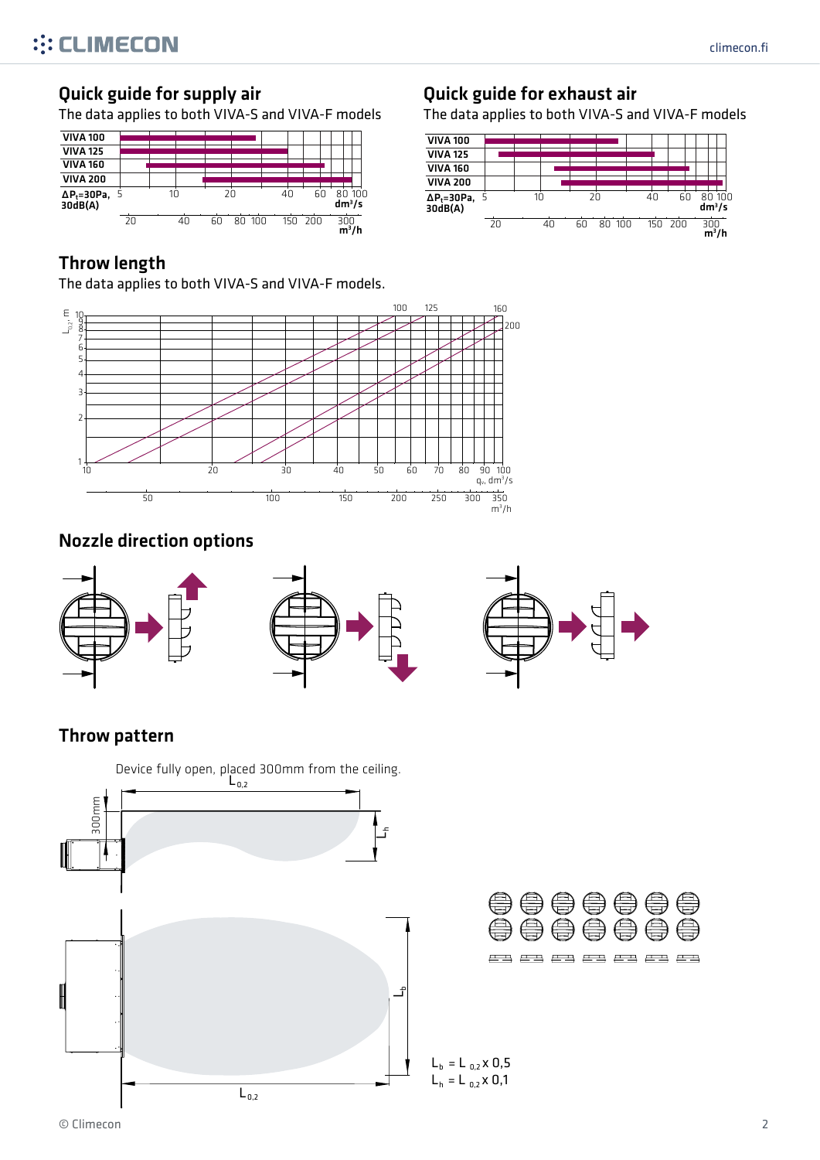#### Quick guide for supply air

The data applies to both VIVA-S and VIVA-F models



#### Throw length

The data applies to both VIVA-S and VIVA-F models.



The data applies to both VIVA-S and VIVA-F models





## Nozzle direction options



#### Throw pattern

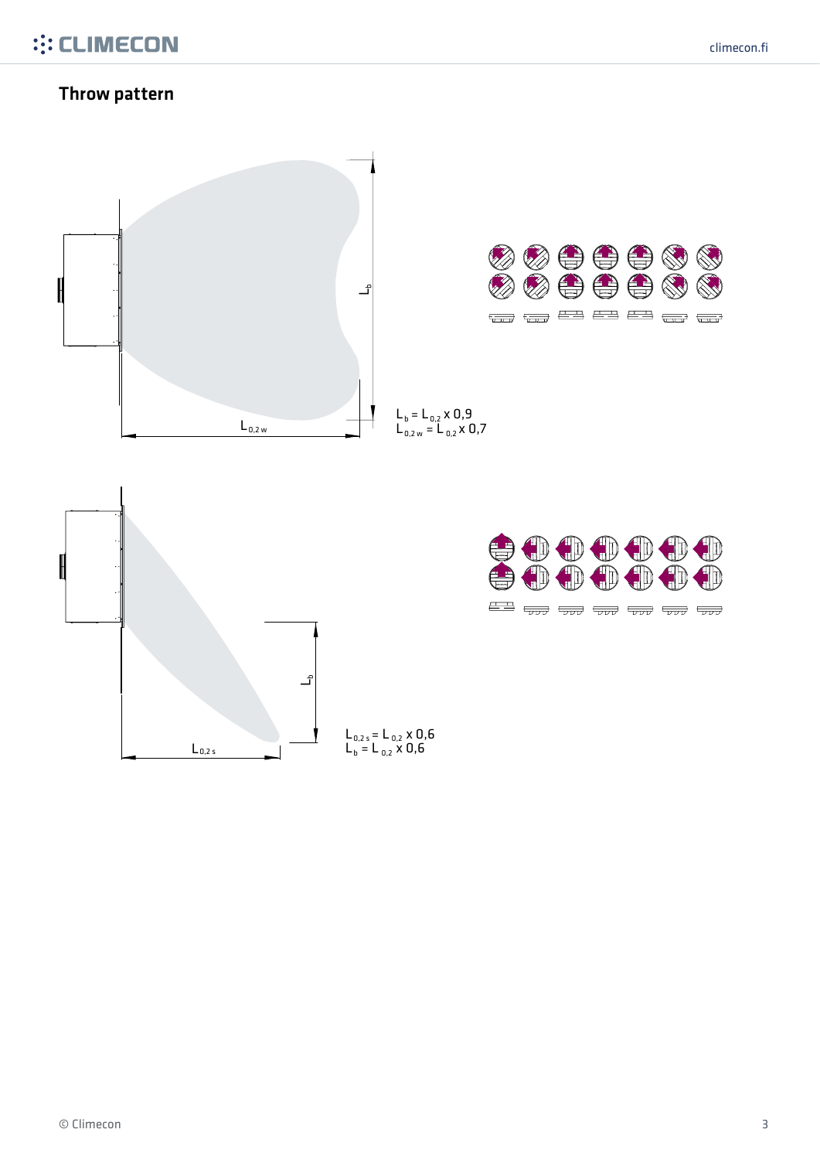#### Throw pattern

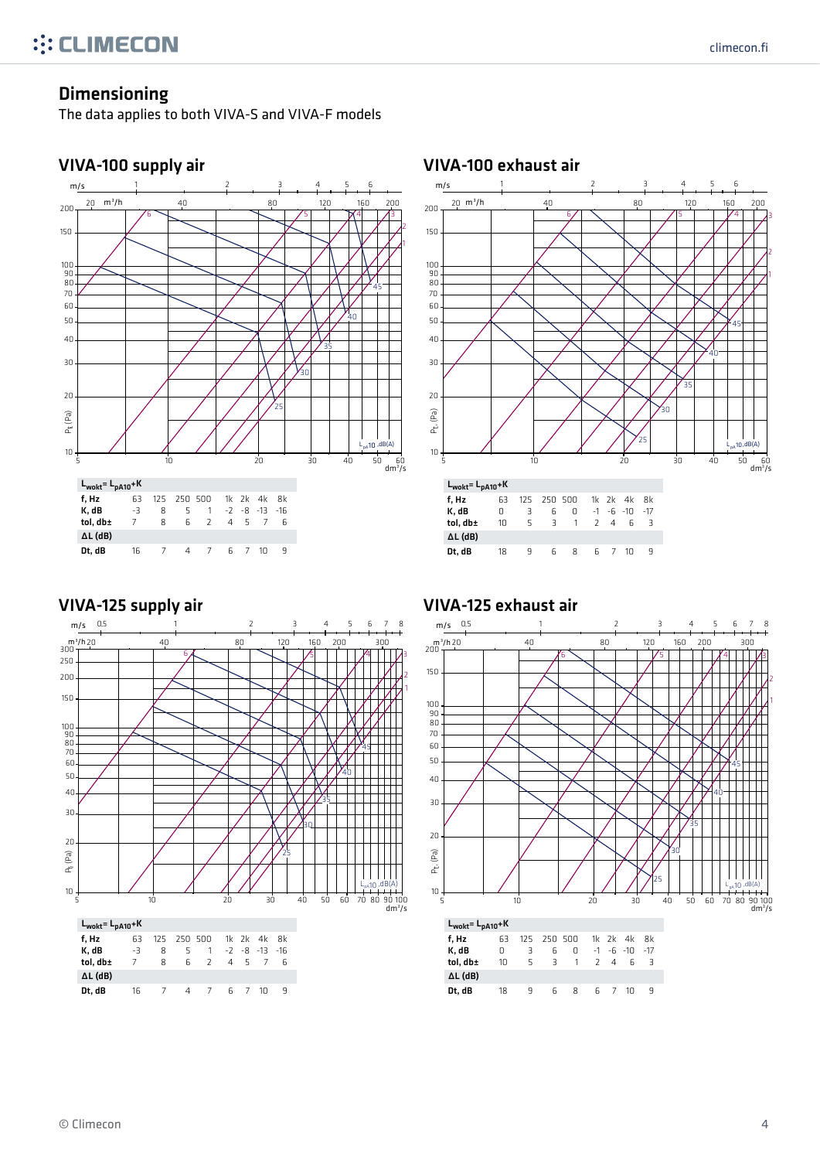2

1

 $L_{pA}$ 10,dB(A)

dm3 /s

#### Dimensioning

The data applies to both VIVA-S and VIVA-F models





#### 20 30 40 50 60 70 80  $90$ 100 150  $\frac{200}{200}$   $\frac{25}{200}$   $\frac{30}{200}$   $\frac{30}{200}$   $\frac{30}{200}$   $\frac{30}{200}$   $\frac{30}{200}$   $\frac{30}{200}$   $\frac{30}{200}$   $\frac{30}{200}$ 5 45 Pt, (Pa)  $\mathcal{E}_{30}$ 35 40 m/s 20 m<sup>3</sup>/h 40 80 120 160 200 1 2 3 4 5 6

25

| -5                                       |    | 10 |                |                |                       |     | 20 |     | 30 | 40 | 60<br>50<br>$dm^3/2$ |
|------------------------------------------|----|----|----------------|----------------|-----------------------|-----|----|-----|----|----|----------------------|
| $L_{\text{wolt}}$ = $L_{\text{pA10}}$ +K |    |    |                |                |                       |     |    |     |    |    |                      |
| f, Hz                                    | 63 |    | 125 250 500    |                | 1k 2k 4k 8k           |     |    |     |    |    |                      |
| K, dB                                    | 0  | 3  | 6              | 0              | $-1$ $-6$ $-10$ $-17$ |     |    |     |    |    |                      |
| tol, db±                                 | 10 | 5  | $\overline{3}$ | $\overline{1}$ |                       | 2 4 |    | 6 3 |    |    |                      |
| $\Delta L$ (dB)                          |    |    |                |                |                       |     |    |     |    |    |                      |
| Dt, dB                                   | 18 | 9  | 6              | 8              |                       | 6 7 | 10 | q   |    |    |                      |

#### VIVA-125 supply air



#### VIVA-125 exhaust air

VIVA-100 exhaust air

2

1

10